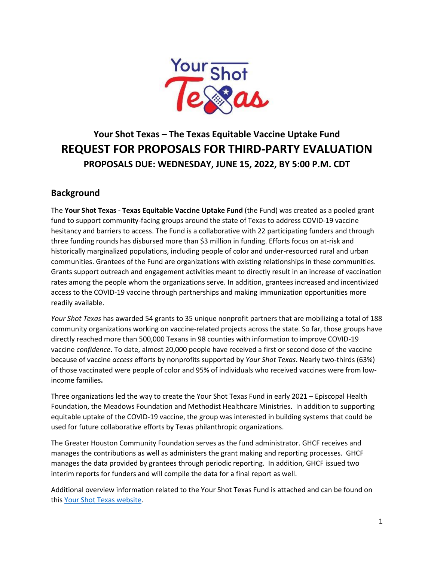

# **Your Shot Texas – The Texas Equitable Vaccine Uptake Fund REQUEST FOR PROPOSALS FOR THIRD-PARTY EVALUATION PROPOSALS DUE: WEDNESDAY, JUNE 15, 2022, BY 5:00 P.M. CDT**

# **Background**

The **Your Shot Texas - Texas Equitable Vaccine Uptake Fund** (the Fund) was created as a pooled grant fund to support community-facing groups around the state of Texas to address COVID-19 vaccine hesitancy and barriers to access. The Fund is a collaborative with 22 participating funders and through three funding rounds has disbursed more than \$3 million in funding. Efforts focus on at-risk and historically marginalized populations, including people of color and under-resourced rural and urban communities. Grantees of the Fund are organizations with existing relationships in these communities. Grants support outreach and engagement activities meant to directly result in an increase of vaccination rates among the people whom the organizations serve. In addition, grantees increased and incentivized access to the COVID-19 vaccine through partnerships and making immunization opportunities more readily available.

*Your Shot Texas* has awarded 54 grants to 35 unique nonprofit partners that are mobilizing a total of 188 community organizations working on vaccine-related projects across the state. So far, those groups have directly reached more than 500,000 Texans in 98 counties with information to improve COVID-19 vaccine *confidence*. To date, almost 20,000 people have received a first or second dose of the vaccine because of vaccine *access* efforts by nonprofits supported by *Your Shot Texas*. Nearly two-thirds (63%) of those vaccinated were people of color and 95% of individuals who received vaccines were from lowincome families**.**

Three organizations led the way to create the Your Shot Texas Fund in early 2021 – Episcopal Health Foundation, the Meadows Foundation and Methodist Healthcare Ministries. In addition to supporting equitable uptake of the COVID-19 vaccine, the group was interested in building systems that could be used for future collaborative efforts by Texas philanthropic organizations.

The Greater Houston Community Foundation serves as the fund administrator. GHCF receives and manages the contributions as well as administers the grant making and reporting processes. GHCF manages the data provided by grantees through periodic reporting. In addition, GHCF issued two interim reports for funders and will compile the data for a final report as well.

Additional overview information related to the Your Shot Texas Fund is attached and can be found on this [Your Shot Texas website.](https://www.episcopalhealth.org/your-shot-texas/)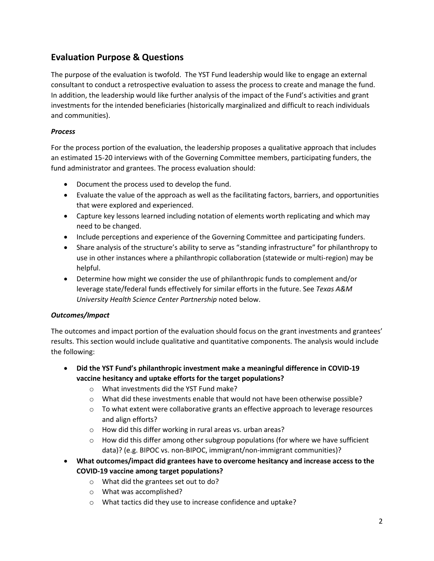# **Evaluation Purpose & Questions**

The purpose of the evaluation is twofold. The YST Fund leadership would like to engage an external consultant to conduct a retrospective evaluation to assess the process to create and manage the fund. In addition, the leadership would like further analysis of the impact of the Fund's activities and grant investments for the intended beneficiaries (historically marginalized and difficult to reach individuals and communities).

#### *Process*

For the process portion of the evaluation, the leadership proposes a qualitative approach that includes an estimated 15-20 interviews with of the Governing Committee members, participating funders, the fund administrator and grantees. The process evaluation should:

- Document the process used to develop the fund.
- Evaluate the value of the approach as well as the facilitating factors, barriers, and opportunities that were explored and experienced.
- Capture key lessons learned including notation of elements worth replicating and which may need to be changed.
- Include perceptions and experience of the Governing Committee and participating funders.
- Share analysis of the structure's ability to serve as "standing infrastructure" for philanthropy to use in other instances where a philanthropic collaboration (statewide or multi-region) may be helpful.
- Determine how might we consider the use of philanthropic funds to complement and/or leverage state/federal funds effectively for similar efforts in the future. See *Texas A&M University Health Science Center Partnership* noted below.

#### *Outcomes/Impact*

The outcomes and impact portion of the evaluation should focus on the grant investments and grantees' results. This section would include qualitative and quantitative components. The analysis would include the following:

- **Did the YST Fund's philanthropic investment make a meaningful difference in COVID-19 vaccine hesitancy and uptake efforts for the target populations?**
	- o What investments did the YST Fund make?
	- $\circ$  What did these investments enable that would not have been otherwise possible?
	- $\circ$  To what extent were collaborative grants an effective approach to leverage resources and align efforts?
	- o How did this differ working in rural areas vs. urban areas?
	- $\circ$  How did this differ among other subgroup populations (for where we have sufficient data)? (e.g. BIPOC vs. non-BIPOC, immigrant/non-immigrant communities)?
- **What outcomes/impact did grantees have to overcome hesitancy and increase access to the COVID-19 vaccine among target populations?** 
	- o What did the grantees set out to do?
	- o What was accomplished?
	- o What tactics did they use to increase confidence and uptake?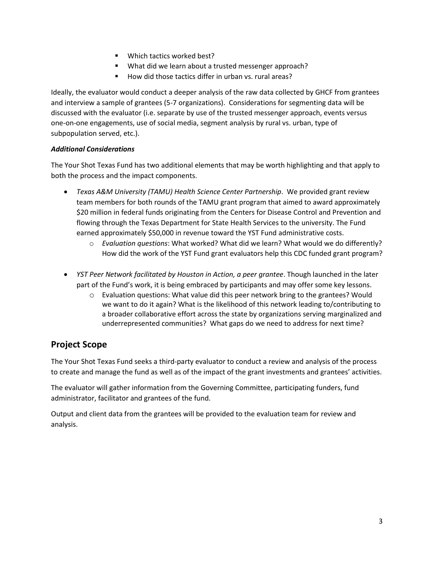- Which tactics worked best?
- What did we learn about a trusted messenger approach?
- How did those tactics differ in urban vs. rural areas?

Ideally, the evaluator would conduct a deeper analysis of the raw data collected by GHCF from grantees and interview a sample of grantees (5-7 organizations). Considerations for segmenting data will be discussed with the evaluator (i.e. separate by use of the trusted messenger approach, events versus one-on-one engagements, use of social media, segment analysis by rural vs. urban, type of subpopulation served, etc.).

#### *Additional Considerations*

The Your Shot Texas Fund has two additional elements that may be worth highlighting and that apply to both the process and the impact components.

- *Texas A&M University (TAMU) Health Science Center Partnership*. We provided grant review team members for both rounds of the TAMU grant program that aimed to award approximately \$20 million in federal funds originating from the Centers for Disease Control and Prevention and flowing through the Texas Department for State Health Services to the university. The Fund earned approximately \$50,000 in revenue toward the YST Fund administrative costs.
	- o *Evaluation questions*: What worked? What did we learn? What would we do differently? How did the work of the YST Fund grant evaluators help this CDC funded grant program?
- *YST Peer Network facilitated by Houston in Action, a peer grantee*. Though launched in the later part of the Fund's work, it is being embraced by participants and may offer some key lessons.
	- o Evaluation questions: What value did this peer network bring to the grantees? Would we want to do it again? What is the likelihood of this network leading to/contributing to a broader collaborative effort across the state by organizations serving marginalized and underrepresented communities? What gaps do we need to address for next time?

# **Project Scope**

The Your Shot Texas Fund seeks a third-party evaluator to conduct a review and analysis of the process to create and manage the fund as well as of the impact of the grant investments and grantees' activities.

The evaluator will gather information from the Governing Committee, participating funders, fund administrator, facilitator and grantees of the fund.

Output and client data from the grantees will be provided to the evaluation team for review and analysis.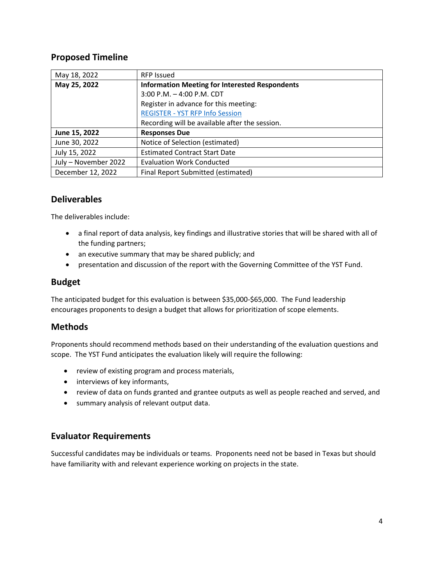# **Proposed Timeline**

| May 18, 2022         | <b>RFP Issued</b>                                     |  |
|----------------------|-------------------------------------------------------|--|
| May 25, 2022         | <b>Information Meeting for Interested Respondents</b> |  |
|                      | 3:00 P.M. - 4:00 P.M. CDT                             |  |
|                      | Register in advance for this meeting:                 |  |
|                      | <b>REGISTER - YST RFP Info Session</b>                |  |
|                      | Recording will be available after the session.        |  |
| June 15, 2022        | <b>Responses Due</b>                                  |  |
| June 30, 2022        | Notice of Selection (estimated)                       |  |
| July 15, 2022        | <b>Estimated Contract Start Date</b>                  |  |
| July - November 2022 | <b>Evaluation Work Conducted</b>                      |  |
| December 12, 2022    | Final Report Submitted (estimated)                    |  |

# **Deliverables**

The deliverables include:

- a final report of data analysis, key findings and illustrative stories that will be shared with all of the funding partners;
- an executive summary that may be shared publicly; and
- presentation and discussion of the report with the Governing Committee of the YST Fund.

# **Budget**

The anticipated budget for this evaluation is between \$35,000-\$65,000. The Fund leadership encourages proponents to design a budget that allows for prioritization of scope elements.

# **Methods**

Proponents should recommend methods based on their understanding of the evaluation questions and scope. The YST Fund anticipates the evaluation likely will require the following:

- review of existing program and process materials,
- interviews of key informants,
- review of data on funds granted and grantee outputs as well as people reached and served, and
- summary analysis of relevant output data.

#### **Evaluator Requirements**

Successful candidates may be individuals or teams. Proponents need not be based in Texas but should have familiarity with and relevant experience working on projects in the state.